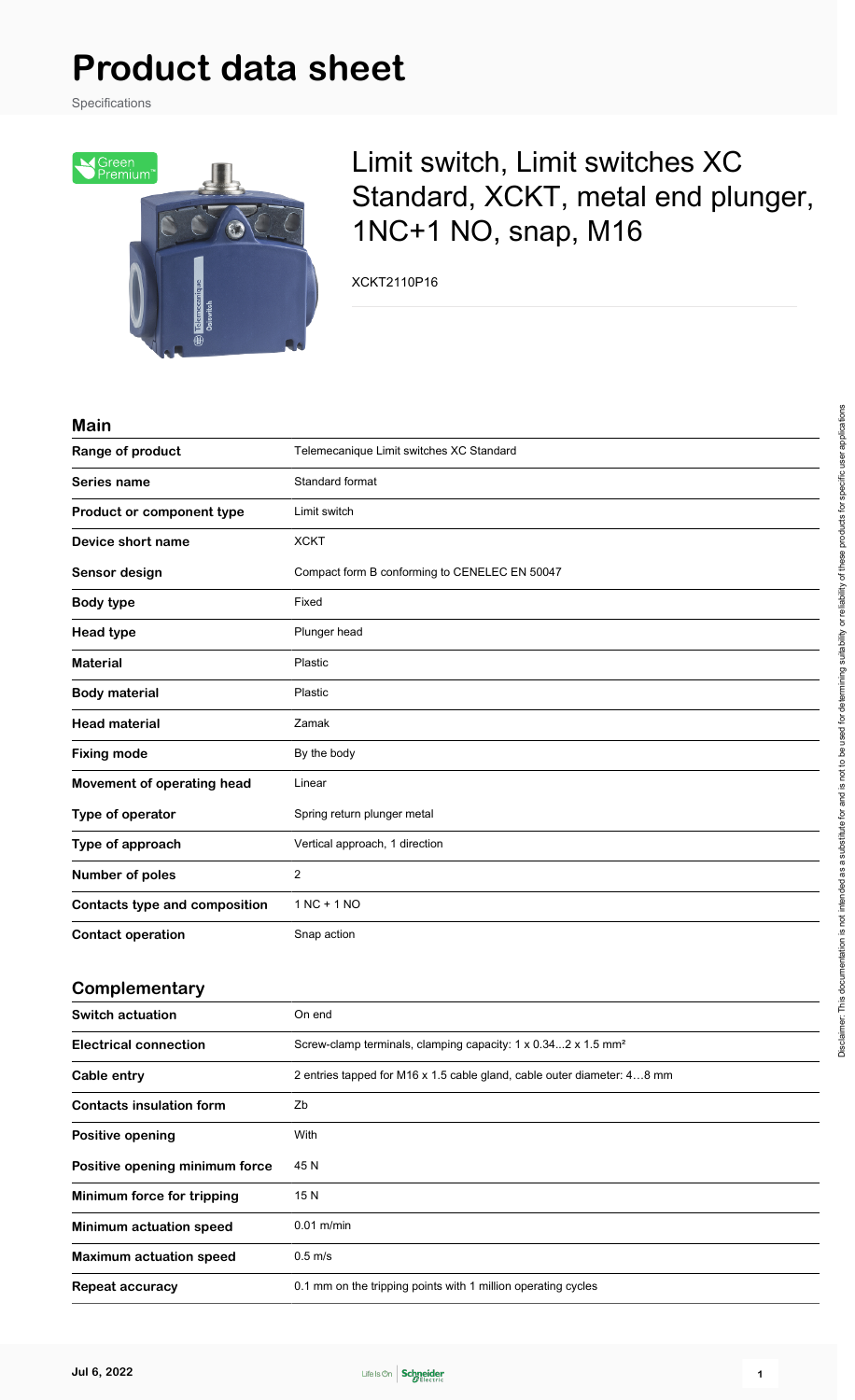Specifications



## Limit switch, Limit switches XC Standard, XCKT, metal end plunger, 1NC+1 NO, snap, M16

XCKT2110P16

#### **Main**

| ,,,,,,,                              |                                               |
|--------------------------------------|-----------------------------------------------|
| Range of product                     | Telemecanique Limit switches XC Standard      |
| Series name                          | Standard format                               |
| Product or component type            | Limit switch                                  |
| Device short name                    | <b>XCKT</b>                                   |
| Sensor design                        | Compact form B conforming to CENELEC EN 50047 |
| <b>Body type</b>                     | Fixed                                         |
| <b>Head type</b>                     | Plunger head                                  |
| <b>Material</b>                      | Plastic                                       |
| <b>Body material</b>                 | Plastic                                       |
| <b>Head material</b>                 | Zamak                                         |
| <b>Fixing mode</b>                   | By the body                                   |
| Movement of operating head           | Linear                                        |
| Type of operator                     | Spring return plunger metal                   |
| Type of approach                     | Vertical approach, 1 direction                |
| <b>Number of poles</b>               | $\overline{2}$                                |
| <b>Contacts type and composition</b> | $1 NC + 1 NO$                                 |
| <b>Contact operation</b>             | Snap action                                   |

#### **Complementary**

| <b>Switch actuation</b>         | On end                                                                    |
|---------------------------------|---------------------------------------------------------------------------|
| <b>Electrical connection</b>    | Screw-clamp terminals, clamping capacity: 1 x 0.342 x 1.5 mm <sup>2</sup> |
| Cable entry                     | 2 entries tapped for M16 x 1.5 cable gland, cable outer diameter: 48 mm   |
| <b>Contacts insulation form</b> | Zb                                                                        |
| Positive opening                | With                                                                      |
| Positive opening minimum force  | 45 N                                                                      |
| Minimum force for tripping      | 15 N                                                                      |
| <b>Minimum actuation speed</b>  | $0.01$ m/min                                                              |
| <b>Maximum actuation speed</b>  | $0.5$ m/s                                                                 |
| <b>Repeat accuracy</b>          | 0.1 mm on the tripping points with 1 million operating cycles             |

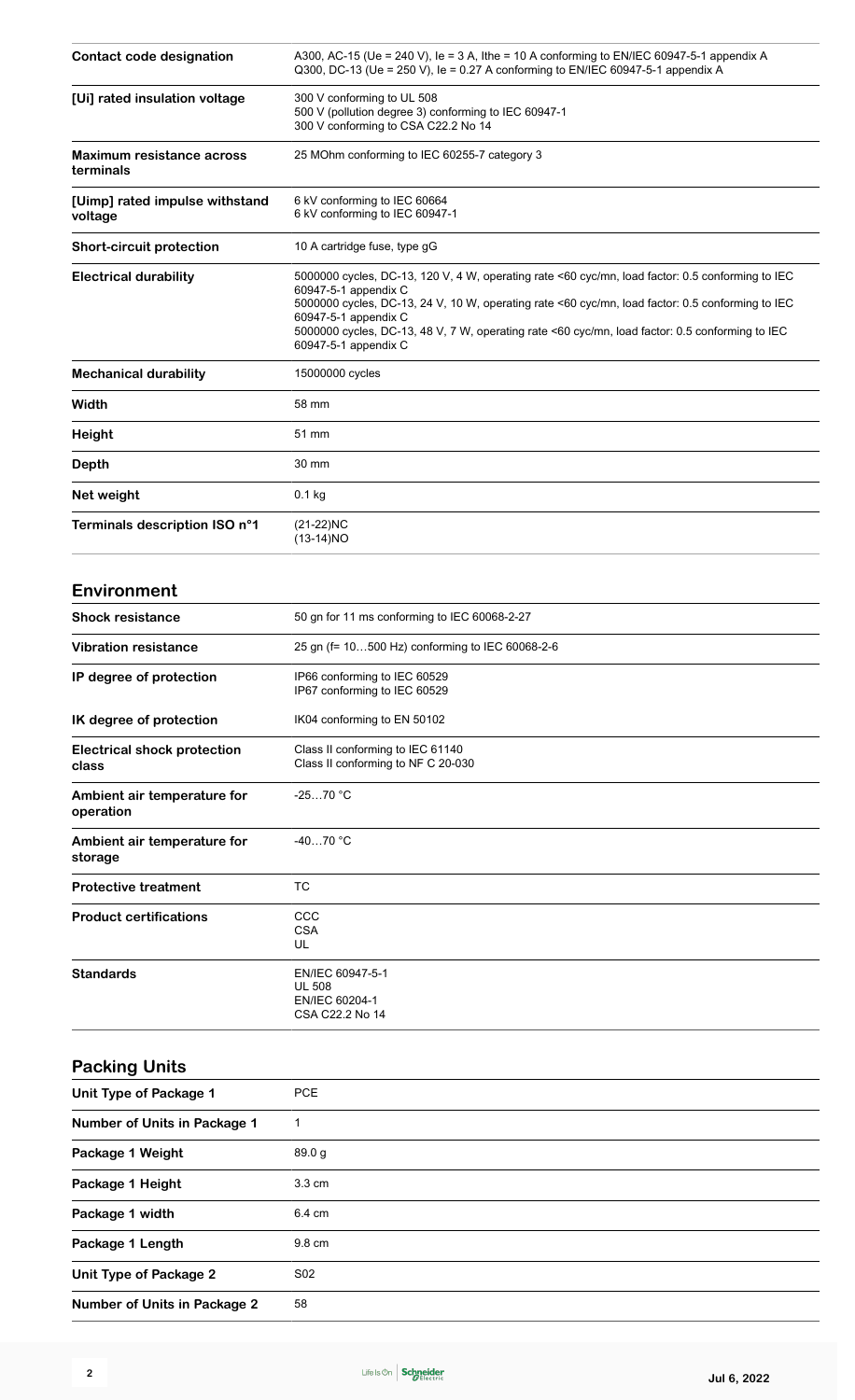| Contact code designation                      | A300, AC-15 (Ue = 240 V), Ie = 3 A, Ithe = 10 A conforming to EN/IEC 60947-5-1 appendix A<br>Q300, DC-13 (Ue = 250 V), le = 0.27 A conforming to EN/IEC 60947-5-1 appendix A                                                                                                                                                                                                    |
|-----------------------------------------------|---------------------------------------------------------------------------------------------------------------------------------------------------------------------------------------------------------------------------------------------------------------------------------------------------------------------------------------------------------------------------------|
| [Ui] rated insulation voltage                 | 300 V conforming to UL 508<br>500 V (pollution degree 3) conforming to IEC 60947-1<br>300 V conforming to CSA C22.2 No 14                                                                                                                                                                                                                                                       |
| <b>Maximum resistance across</b><br>terminals | 25 MOhm conforming to IEC 60255-7 category 3                                                                                                                                                                                                                                                                                                                                    |
| [Uimp] rated impulse withstand<br>voltage     | 6 kV conforming to IEC 60664<br>6 kV conforming to IEC 60947-1                                                                                                                                                                                                                                                                                                                  |
| <b>Short-circuit protection</b>               | 10 A cartridge fuse, type gG                                                                                                                                                                                                                                                                                                                                                    |
| <b>Electrical durability</b>                  | 5000000 cycles, DC-13, 120 V, 4 W, operating rate <60 cyc/mn, load factor: 0.5 conforming to IEC<br>60947-5-1 appendix C<br>5000000 cycles, DC-13, 24 V, 10 W, operating rate <60 cyc/mn, load factor: 0.5 conforming to IEC<br>60947-5-1 appendix C<br>5000000 cycles, DC-13, 48 V, 7 W, operating rate <60 cyc/mn, load factor: 0.5 conforming to IEC<br>60947-5-1 appendix C |
| <b>Mechanical durability</b>                  | 15000000 cycles                                                                                                                                                                                                                                                                                                                                                                 |
| Width                                         | 58 mm                                                                                                                                                                                                                                                                                                                                                                           |
| Height                                        | 51 mm                                                                                                                                                                                                                                                                                                                                                                           |
| <b>Depth</b>                                  | 30 mm                                                                                                                                                                                                                                                                                                                                                                           |
| Net weight                                    | $0.1$ kg                                                                                                                                                                                                                                                                                                                                                                        |
| Terminals description ISO n°1                 | $(21-22)NC$<br>$(13-14)NO$                                                                                                                                                                                                                                                                                                                                                      |
| <b>Environment</b>                            |                                                                                                                                                                                                                                                                                                                                                                                 |
| <b>Shock resistance</b>                       | 50 gn for 11 ms conforming to IEC 60068-2-27                                                                                                                                                                                                                                                                                                                                    |
| <b>Vibration resistance</b>                   | 25 gn (f= 10500 Hz) conforming to IEC 60068-2-6                                                                                                                                                                                                                                                                                                                                 |
| IP degree of protection                       | IP66 conforming to IEC 60529<br>IP67 conforming to IEC 60529                                                                                                                                                                                                                                                                                                                    |
| IK degree of protection                       | IK04 conforming to EN 50102                                                                                                                                                                                                                                                                                                                                                     |
| <b>Electrical shock protection</b><br>class   | Class II conforming to IEC 61140<br>Class II conforming to NF C 20-030                                                                                                                                                                                                                                                                                                          |
| Ambient air temperature for<br>operation      | -25…70 °C                                                                                                                                                                                                                                                                                                                                                                       |
| Ambient air temperature for<br>storage        | $-4070 °C$                                                                                                                                                                                                                                                                                                                                                                      |
| <b>Protective treatment</b>                   | <b>TC</b>                                                                                                                                                                                                                                                                                                                                                                       |
| <b>Product certifications</b>                 | CCC<br><b>CSA</b><br>UL                                                                                                                                                                                                                                                                                                                                                         |
| <b>Standards</b>                              | EN/IEC 60947-5-1<br><b>UL 508</b><br>EN/IEC 60204-1<br>CSA C22.2 No 14                                                                                                                                                                                                                                                                                                          |
| <b>Packing Units</b>                          |                                                                                                                                                                                                                                                                                                                                                                                 |
| <b>Unit Type of Package 1</b>                 | <b>PCE</b>                                                                                                                                                                                                                                                                                                                                                                      |
| <b>Number of Units in Package 1</b>           | $\mathbf{1}$                                                                                                                                                                                                                                                                                                                                                                    |
| Package 1 Weight                              | 890a                                                                                                                                                                                                                                                                                                                                                                            |

| Package 1 Weight                    | 89.0 g           |
|-------------------------------------|------------------|
| Package 1 Height                    | $3.3 \text{ cm}$ |
| Package 1 width                     | 6.4 cm           |
| Package 1 Length                    | 9.8 cm           |
| Unit Type of Package 2              | S <sub>02</sub>  |
| <b>Number of Units in Package 2</b> | 58               |
|                                     |                  |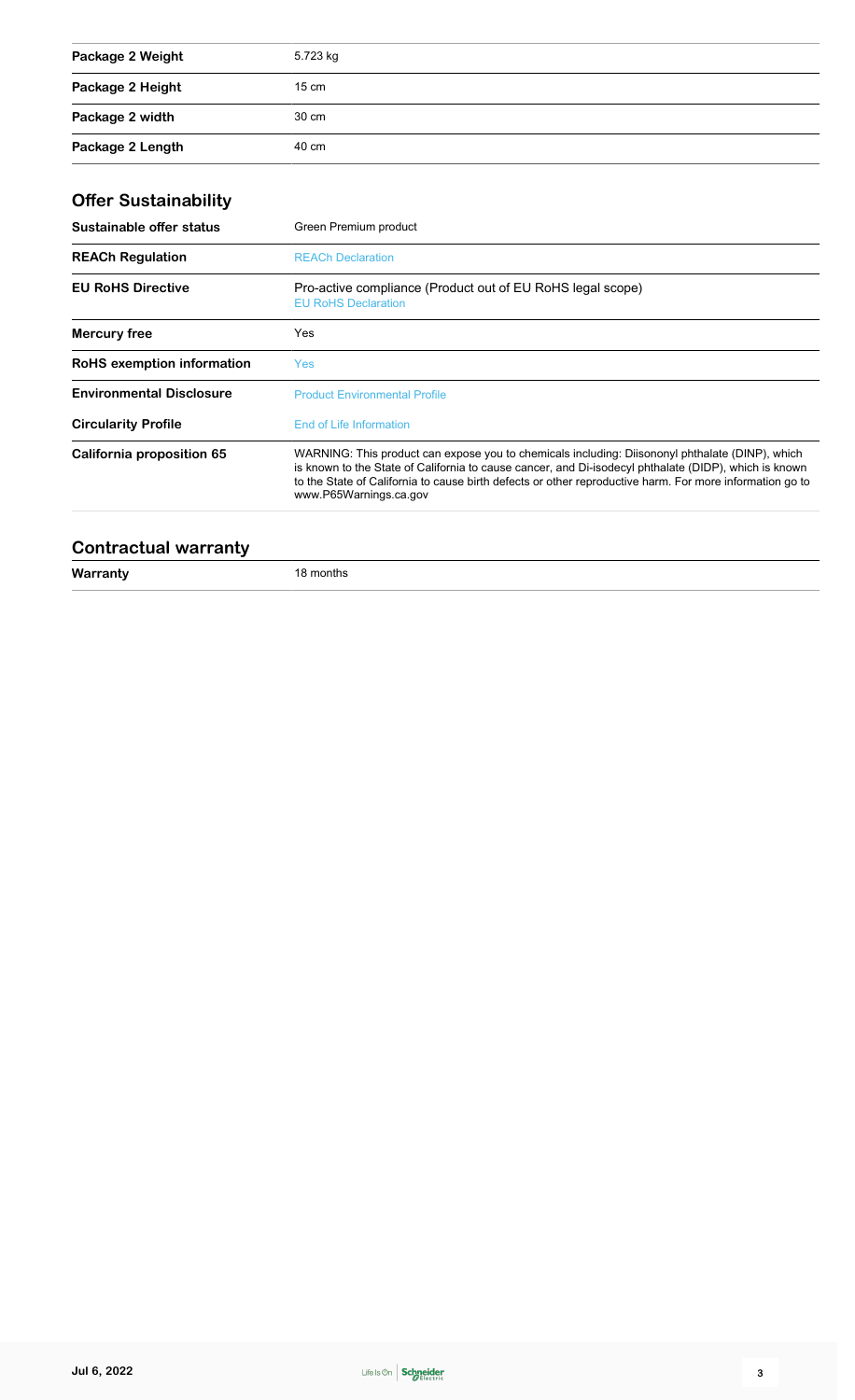| Package 2 Weight | 5.723 kg        |
|------------------|-----------------|
| Package 2 Height | $15 \text{ cm}$ |
| Package 2 width  | 30 cm           |
| Package 2 Length | 40 cm           |

### **Offer Sustainability**

| Sustainable offer status        | Green Premium product                                                                                                                                                                                                                                                                                                                          |
|---------------------------------|------------------------------------------------------------------------------------------------------------------------------------------------------------------------------------------------------------------------------------------------------------------------------------------------------------------------------------------------|
| <b>REACh Regulation</b>         | <b>REACh Declaration</b>                                                                                                                                                                                                                                                                                                                       |
| <b>EU RoHS Directive</b>        | Pro-active compliance (Product out of EU RoHS legal scope)<br><b>EU RoHS Declaration</b>                                                                                                                                                                                                                                                       |
| <b>Mercury free</b>             | Yes                                                                                                                                                                                                                                                                                                                                            |
| RoHS exemption information      | Yes                                                                                                                                                                                                                                                                                                                                            |
| <b>Environmental Disclosure</b> | <b>Product Environmental Profile</b>                                                                                                                                                                                                                                                                                                           |
| <b>Circularity Profile</b>      | End of Life Information                                                                                                                                                                                                                                                                                                                        |
| California proposition 65       | WARNING: This product can expose you to chemicals including: Diisononyl phthalate (DINP), which<br>is known to the State of California to cause cancer, and Di-isodecyl phthalate (DIDP), which is known<br>to the State of California to cause birth defects or other reproductive harm. For more information go to<br>www.P65Warnings.ca.gov |
|                                 |                                                                                                                                                                                                                                                                                                                                                |

#### **Contractual warranty**

**Warranty** 18 months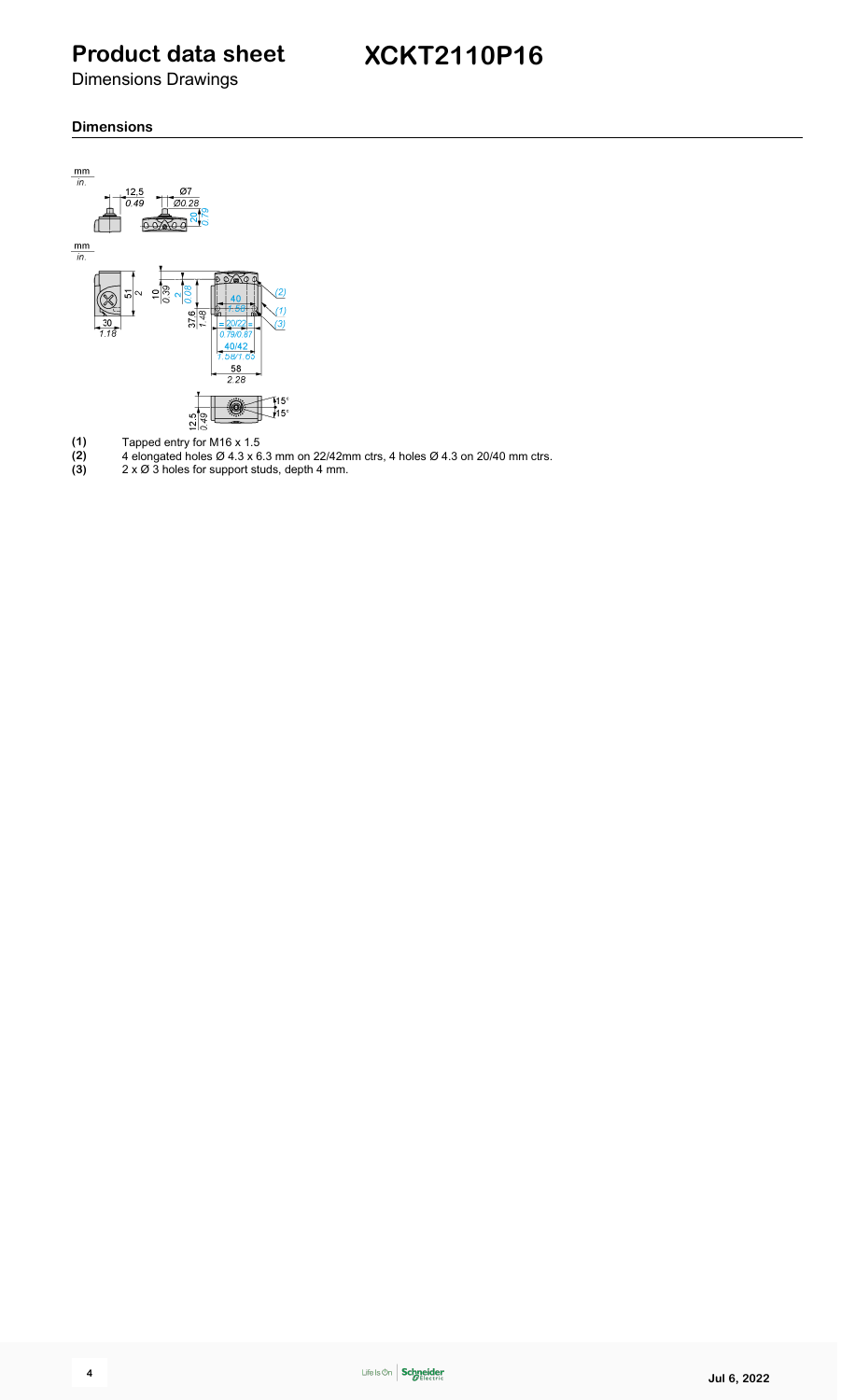Dimensions Drawings

#### **Dimensions**



- **(1)** Tapped entry for M16 x 1.5
- **(2)** 4 elongated holes Ø 4.3 x 6.3 mm on 22/42mm ctrs, 4 holes Ø 4.3 on 20/40 mm ctrs.
- **(3)** 2 x Ø 3 holes for support studs, depth 4 mm.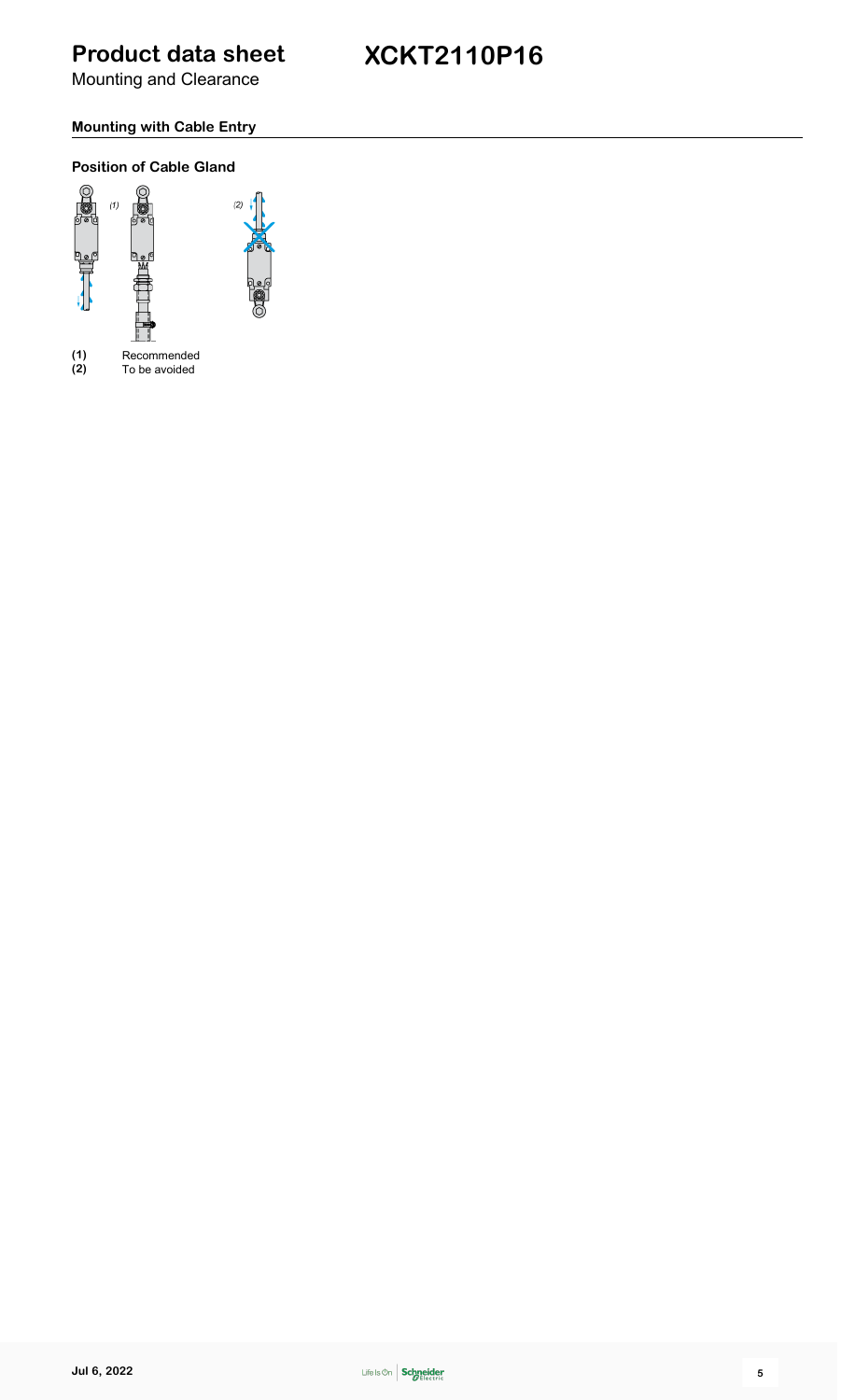Mounting and Clearance

### **XCKT2110P16**

### **Mounting with Cable Entry**

#### **Position of Cable Gland**



**(1)** Recommended **(2)** To be avoided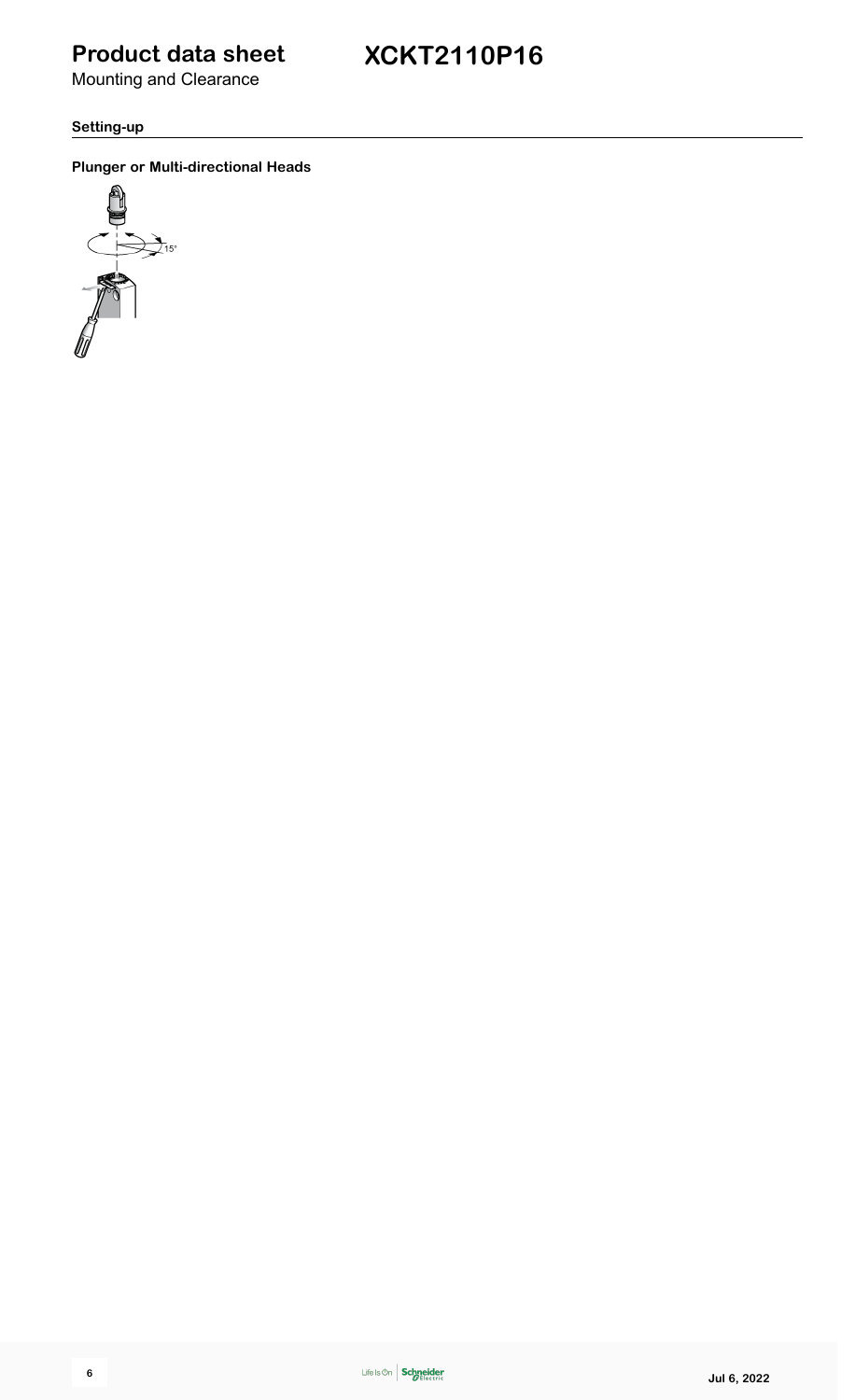Mounting and Clearance

**Setting-up**

**Plunger or Multi-directional Heads**

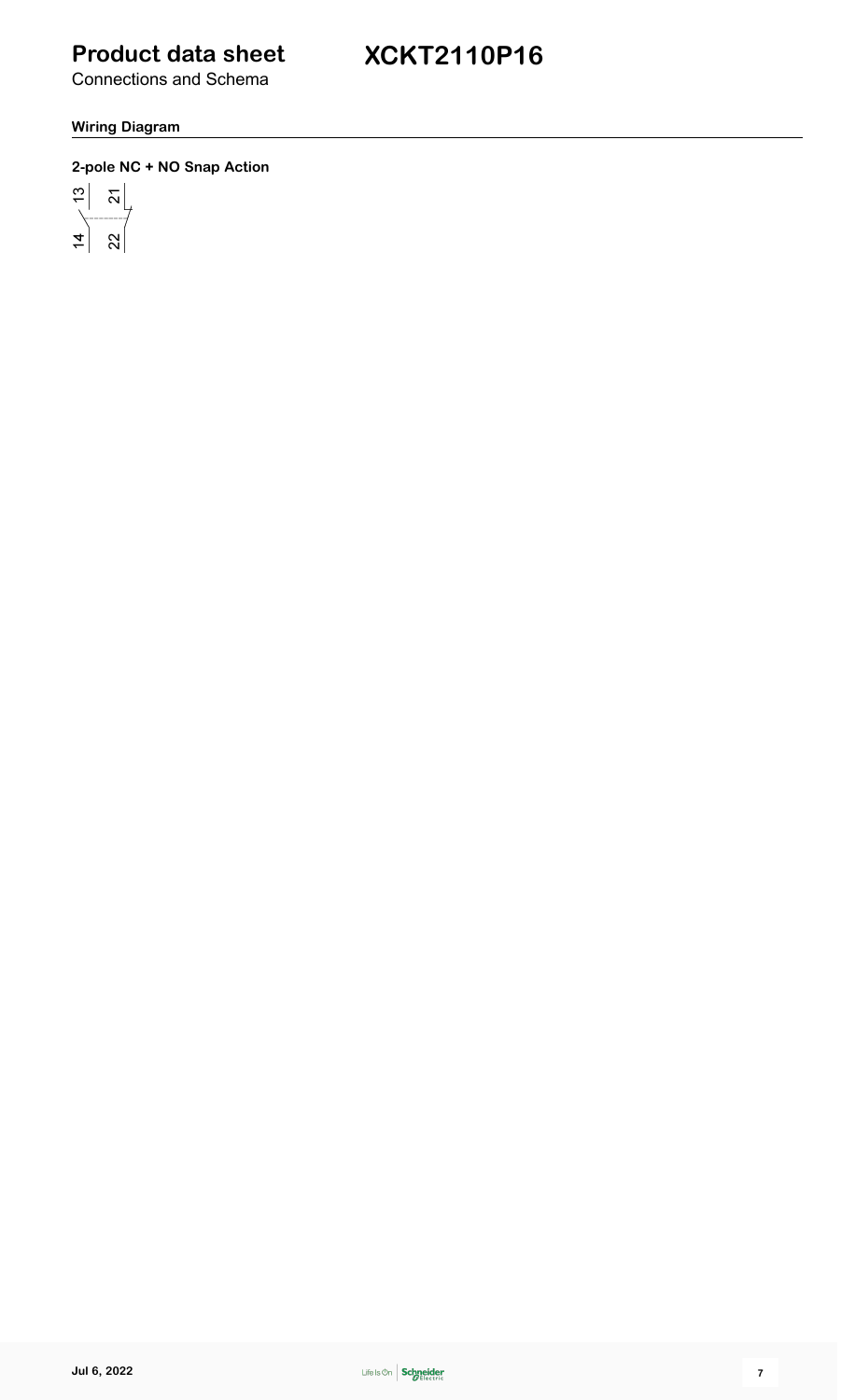**XCKT2110P16**

Connections and Schema

#### **Wiring Diagram**

#### **2-pole NC + NO Snap Action**

 $\frac{1}{2}$   $\frac{1}{2}$  $\overline{4}$  $\approx$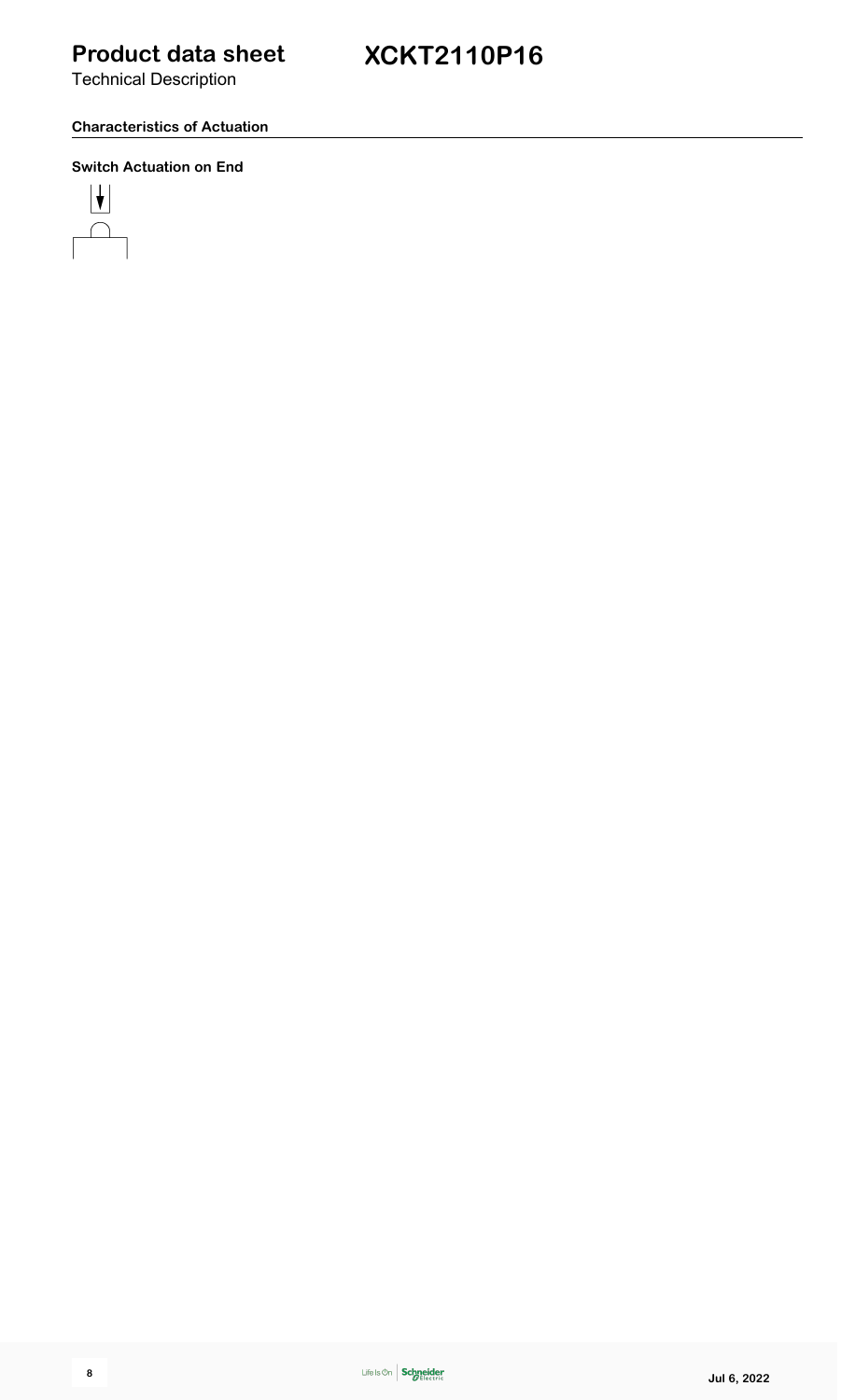Technical Description

#### **Characteristics of Actuation**

#### **Switch Actuation on End**